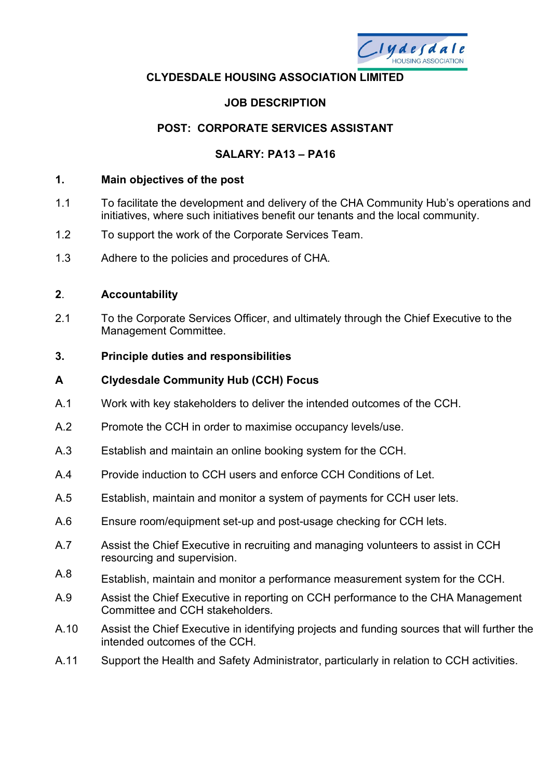

#### **CLYDESDALE HOUSING ASSOCIATION LIMITED**

# **JOB DESCRIPTION**

## **POST: CORPORATE SERVICES ASSISTANT**

## **SALARY: PA13 – PA16**

#### **1. Main objectives of the post**

- 1.1 To facilitate the development and delivery of the CHA Community Hub's operations and initiatives, where such initiatives benefit our tenants and the local community.
- 1.2 To support the work of the Corporate Services Team.
- 1.3 Adhere to the policies and procedures of CHA.

#### **2**. **Accountability**

2.1 To the Corporate Services Officer, and ultimately through the Chief Executive to the Management Committee.

#### **3. Principle duties and responsibilities**

#### **A Clydesdale Community Hub (CCH) Focus**

- A.1 Work with key stakeholders to deliver the intended outcomes of the CCH.
- A.2 Promote the CCH in order to maximise occupancy levels/use.
- A.3 Establish and maintain an online booking system for the CCH.
- A.4 Provide induction to CCH users and enforce CCH Conditions of Let.
- A.5 Establish, maintain and monitor a system of payments for CCH user lets.
- A.6 Ensure room/equipment set-up and post-usage checking for CCH lets.
- A.7 Assist the Chief Executive in recruiting and managing volunteers to assist in CCH resourcing and supervision.
- A.8 Establish, maintain and monitor a performance measurement system for the CCH.
- A.9 Assist the Chief Executive in reporting on CCH performance to the CHA Management Committee and CCH stakeholders.
- A.10 Assist the Chief Executive in identifying projects and funding sources that will further the intended outcomes of the CCH.
- A.11 Support the Health and Safety Administrator, particularly in relation to CCH activities.